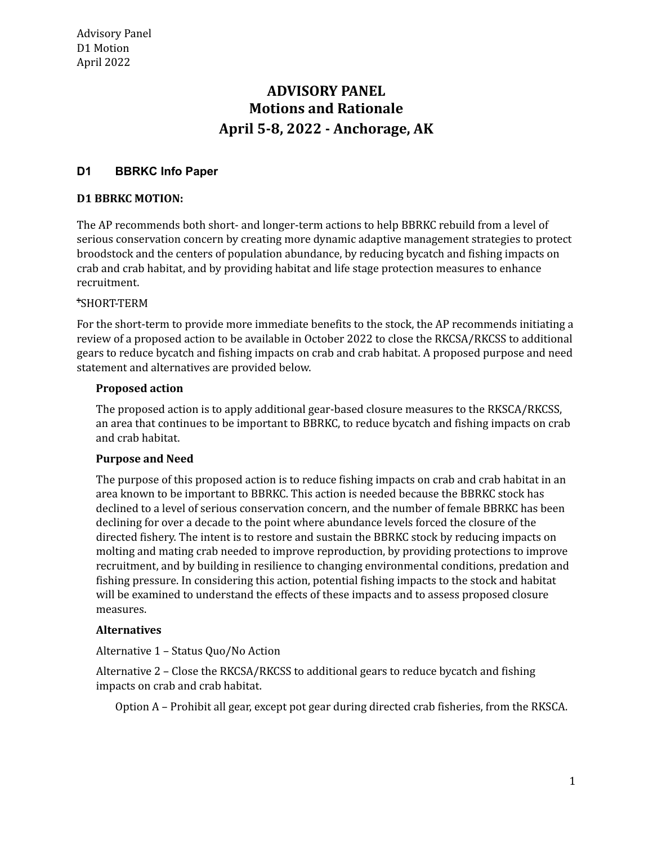# **Motions and Rationale April 5-8, 2022 - Anchorage, AK ADVISORY PANEL**

# **D1 BBRKC Info Paper**

#### **D1 BBRKC MOTION:**

 The AP recommends both short- and longer-term actions to help BBRKC rebuild from a level of serious conservation concern by creating more dynamic adaptive management strategies to protect broodstock and the centers of population abundance, by reducing bycatch and fishing impacts on crab and crab habitat, and by providing habitat and life stage protection measures to enhance recruitment.

## 1 SHORT-TERM

 For the short-term to provide more immediate benefits to the stock, the AP recommends initiating a review of a proposed action to be available in October 2022 to close the RKCSA/RKCSS to additional gears to reduce bycatch and fishing impacts on crab and crab habitat. A proposed purpose and need statement and alternatives are provided below.

#### **Proposed action**

 The proposed action is to apply additional gear-based closure measures to the RKSCA/RKCSS, an area that continues to be important to BBRKC, to reduce bycatch and fishing impacts on crab and crab habitat.

#### **Purpose and Need**

 The purpose of this proposed action is to reduce fishing impacts on crab and crab habitat in an area known to be important to BBRKC. This action is needed because the BBRKC stock has declined to a level of serious conservation concern, and the number of female BBRKC has been declining for over a decade to the point where abundance levels forced the closure of the directed fishery. The intent is to restore and sustain the BBRKC stock by reducing impacts on molting and mating crab needed to improve reproduction, by providing protections to improve recruitment, and by building in resilience to changing environmental conditions, predation and fishing pressure. In considering this action, potential fishing impacts to the stock and habitat will be examined to understand the effects of these impacts and to assess proposed closure measures.

### **Alternatives**

Alternative 1 – Status Quo/No Action

 Alternative 2 – Close the RKCSA/RKCSS to additional gears to reduce bycatch and fishing impacts on crab and crab habitat.

Option A – Prohibit all gear, except pot gear during directed crab fisheries, from the RKSCA.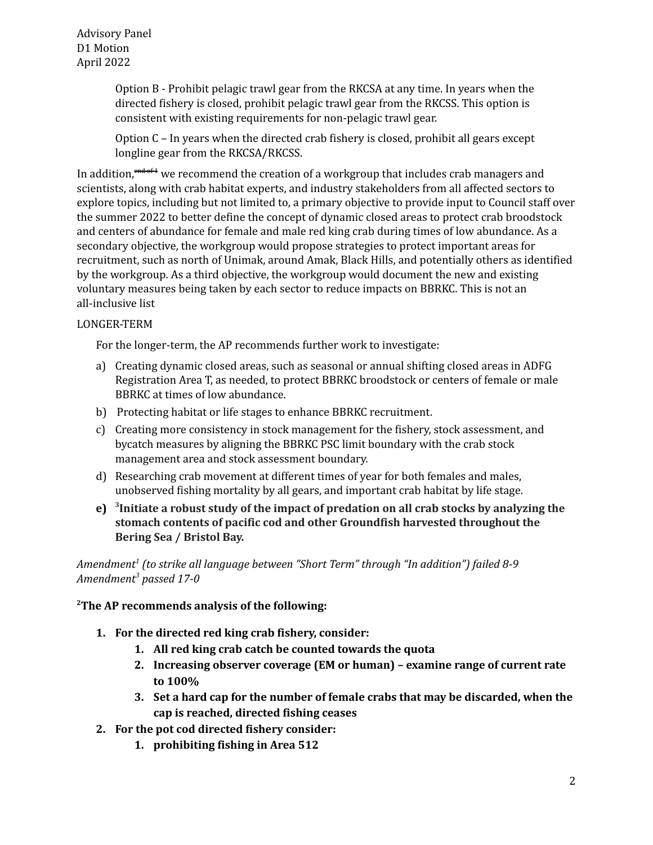Advisory Panel D1 Motion April 2022

> Option B - Prohibit pelagic trawl gear from the RKCSA at any time. In years when the directed fishery is closed, prohibit pelagic trawl gear from the RKCSS. This option is consistent with existing requirements for non-pelagic trawl gear.

> Option C – In years when the directed crab fishery is closed, prohibit all gears except longline gear from the RKCSA/RKCSS.

In addition, <del><sup>end of 1</sup></del> we recommend the creation of a workgroup that includes crab managers and scientists, along with crab habitat experts, and industry stakeholders from all affected sectors to explore topics, including but not limited to, a primary objective to provide input to Council staff over the summer 2022 to better define the concept of dynamic closed areas to protect crab broodstock and centers of abundance for female and male red king crab during times of low abundance. As a secondary objective, the workgroup would propose strategies to protect important areas for recruitment, such as north of Unimak, around Amak, Black Hills, and potentially others as identified by the workgroup. As a third objective, the workgroup would document the new and existing voluntary measures being taken by each sector to reduce impacts on BBRKC. This is not an all-inclusive list

### LONGER-TERM

For the longer-term, the AP recommends further work to investigate:

- a) Creating dynamic closed areas, such as seasonal or annual shifting closed areas in ADFG Registration Area T, as needed, to protect BBRKC broodstock or centers of female or male BBRKC at times of low abundance.
- b) Protecting habitat or life stages to enhance BBRKC recruitment.
- c) Creating more consistency in stock management for the fishery, stock assessment, and bycatch measures by aligning the BBRKC PSC limit boundary with the crab stock management area and stock assessment boundary.
- d) Researching crab movement at different times of year for both females and males, unobserved fishing mortality by all gears, and important crab habitat by life stage.
- e) <sup>3</sup>Initiate a robust study of the impact of predation on all crab stocks by analyzing the  **stomach contents of pacific cod and other Groundfish harvested throughout the Bering Sea / Bristol Bay.**

 *Amendment1 (to strike all language between "Short Term" through "In addition") failed 8-9 Amendment3 passed 17-0*

### **2 The AP recommends analysis of the following:**

- **1. For the directed red king crab fishery, consider:**
	- **1. All red king crab catch be counted towards the quota**
	- **2. Increasing observer coverage (EM or human) – examine range of current rate to 100%**
	- **3. Set a hard cap for the number of female crabs that may be discarded, when the cap is reached, directed fishing ceases**
- **2. For the pot cod directed fishery consider:**
	- **1. prohibiting fishing in Area 512**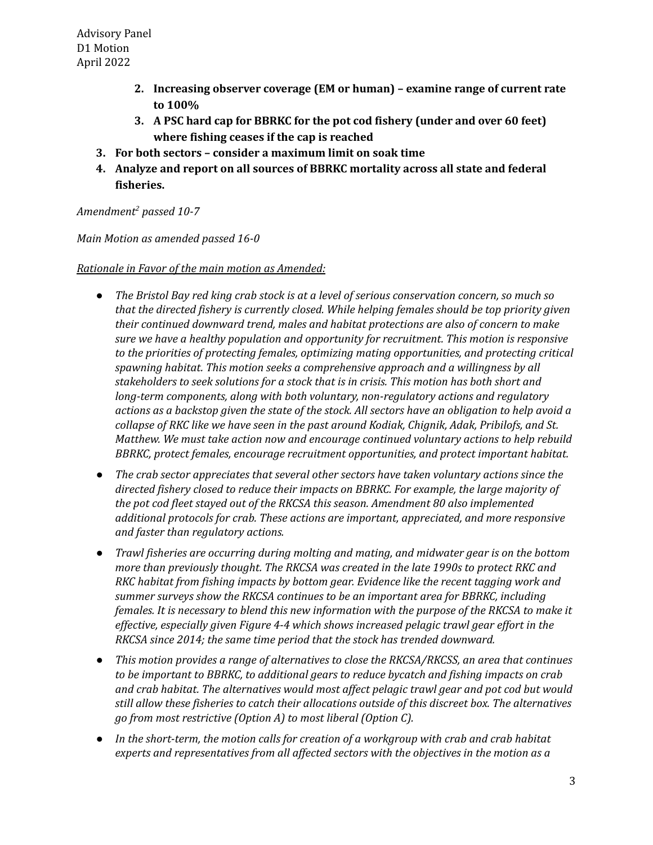- **2. Increasing observer coverage (EM or human) – examine range of current rate to 100%**
- **3. A PSC hard cap for BBRKC for the pot cod fishery (under and over 60 feet) where fishing ceases if the cap is reached**
- **3. For both sectors – consider a maximum limit on soak time**
- **4. Analyze and report on all sources of BBRKC mortality across all state and federal fisheries.**

# *Amendment2 passed 10-7*

 *Main Motion as amended passed 16-0*

## *Rationale in Favor of the main motion as Amended:*

- The Bristol Bay red king crab stock is at a level of serious conservation concern, so much so  *that the directed fishery is currently closed. While helping females should be top priority given their continued downward trend, males and habitat protections are also of concern to make sure we have a healthy population and opportunity for recruitment. This motion is responsive to the priorities of protecting females, optimizing mating opportunities, and protecting critical spawning habitat. This motion seeks a comprehensive approach and a willingness by all stakeholders to seek solutions for a stock that is in crisis. This motion has both short and long-term components, along with both voluntary, non-regulatory actions and regulatory* actions as a backstop given the state of the stock. All sectors have an obligation to help avoid a  *collapse of RKC like we have seen in the past around Kodiak, Chignik, Adak, Pribilofs, and St. Matthew. We must take action now and encourage continued voluntary actions to help rebuild BBRKC, protect females, encourage recruitment opportunities, and protect important habitat.*
- *● The crab sector appreciates that several other sectors have taken voluntary actions since the directed fishery closed to reduce their impacts on BBRKC. For example, the large majority of the pot cod fleet stayed out of the RKCSA this season. Amendment 80 also implemented additional protocols for crab. These actions are important, appreciated, and more responsive and faster than regulatory actions.*
- *● Trawl fisheries are occurring during molting and mating, and midwater gear is on the bottom more than previously thought. The RKCSA was created in the late 1990s to protect RKC and RKC habitat from fishing impacts by bottom gear. Evidence like the recent tagging work and summer surveys show the RKCSA continues to be an important area for BBRKC, including* females. It is necessary to blend this new information with the purpose of the RKCSA to make it  *effective, especially given Figure 4-4 which shows increased pelagic trawl gear effort in the RKCSA since 2014; the same time period that the stock has trended downward.*
- *● This motion provides a range of alternatives to close the RKCSA/RKCSS, an area that continues to be important to BBRKC, to additional gears to reduce bycatch and fishing impacts on crab and crab habitat. The alternatives would most affect pelagic trawl gear and pot cod but would still allow these fisheries to catch their allocations outside of this discreet box. The alternatives go from most restrictive (Option A) to most liberal (Option C).*
- *● In the short-term, the motion calls for creation of a workgroup with crab and crab habitat experts and representatives from all affected sectors with the objectives in the motion as a*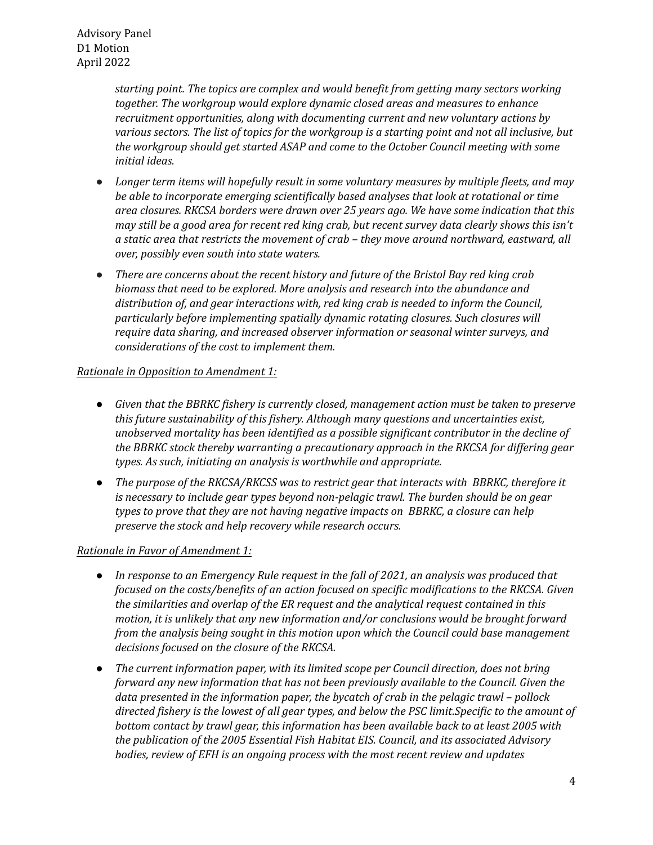*starting point. The topics are complex and would benefit from getting many sectors working together. The workgroup would explore dynamic closed areas and measures to enhance recruitment opportunities, along with documenting current and new voluntary actions by* various sectors. The list of topics for the workgroup is a starting point and not all inclusive, but  *the workgroup should get started ASAP and come to the October Council meeting with some initial ideas.*

- *● Longer term items will hopefully result in some voluntary measures by multiple fleets, and may be able to incorporate emerging scientifically based analyses that look at rotational or time area closures. RKCSA borders were drawn over 25 years ago. We have some indication that this* may still be a good area for recent red king crab, but recent survey data clearly shows this isn't  *a static area that restricts the movement of crab – they move around northward, eastward, all over, possibly even south into state waters.*
- *● There are concerns about the recent history and future of the Bristol Bay red king crab biomass that need to be explored. More analysis and research into the abundance and distribution of, and gear interactions with, red king crab is needed to inform the Council, particularly before implementing spatially dynamic rotating closures. Such closures will require data sharing, and increased observer information or seasonal winter surveys, and considerations of the cost to implement them.*

### *Rationale in Opposition to Amendment 1:*

- *● Given that the BBRKC fishery is currently closed, management action must be taken to preserve this future sustainability of this fishery. Although many questions and uncertainties exist, unobserved mortality has been identified as a possible significant contributor in the decline of the BBRKC stock thereby warranting a precautionary approach in the RKCSA for differing gear types. As such, initiating an analysis is worthwhile and appropriate.*
- *● The purpose of the RKCSA/RKCSS was to restrict gear that interacts with BBRKC, therefore it is necessary to include gear types beyond non-pelagic trawl. The burden should be on gear types to prove that they are not having negative impacts on BBRKC, a closure can help preserve the stock and help recovery while research occurs.*

### *Rationale in Favor of Amendment 1:*

- In response to an Emergency Rule request in the fall of 2021, an analysis was produced that  *focused on the costs/benefits of an action focused on specific modifications to the RKCSA. Given the similarities and overlap of the ER request and the analytical request contained in this motion, it is unlikely that any new information and/or conclusions would be brought forward from the analysis being sought in this motion upon which the Council could base management decisions focused on the closure of the RKCSA.*
- *● The current information paper, with its limited scope per Council direction, does not bring forward any new information that has not been previously available to the Council. Given the data presented in the information paper, the bycatch of crab in the pelagic trawl – pollock* directed fishery is the lowest of all gear types, and below the PSC limit.Specific to the amount of  *bottom contact by trawl gear, this information has been available back to at least 2005 with the publication of the 2005 Essential Fish Habitat EIS. Council, and its associated Advisory bodies, review of EFH is an ongoing process with the most recent review and updates*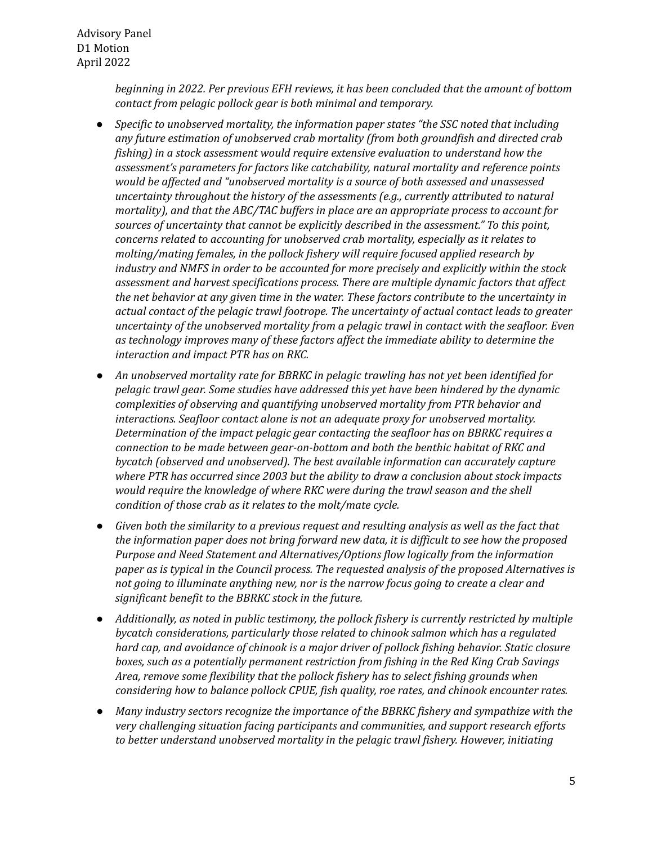*beginning in 2022. Per previous EFH reviews, it has been concluded that the amount of bottom contact from pelagic pollock gear is both minimal and temporary.*

- *● Specific to unobserved mortality, the information paper states "the SSC noted that including any future estimation of unobserved crab mortality (from both groundfish and directed crab fishing) in a stock assessment would require extensive evaluation to understand how the assessment's parameters for factors like catchability, natural mortality and reference points would be affected and "unobserved mortality is a source of both assessed and unassessed uncertainty throughout the history of the assessments (e.g., currently attributed to natural mortality), and that the ABC/TAC buffers in place are an appropriate process to account for sources of uncertainty that cannot be explicitly described in the assessment." To this point, concerns related to accounting for unobserved crab mortality, especially as it relates to molting/mating females, in the pollock fishery will require focused applied research by industry and NMFS in order to be accounted for more precisely and explicitly within the stock assessment and harvest specifications process. There are multiple dynamic factors that affect the net behavior at any given time in the water. These factors contribute to the uncertainty in actual contact of the pelagic trawl footrope. The uncertainty of actual contact leads to greater uncertainty of the unobserved mortality from a pelagic trawl in contact with the seafloor. Even as technology improves many of these factors affect the immediate ability to determine the interaction and impact PTR has on RKC.*
- *● An unobserved mortality rate for BBRKC in pelagic trawling has not yet been identified for pelagic trawl gear. Some studies have addressed this yet have been hindered by the dynamic complexities of observing and quantifying unobserved mortality from PTR behavior and interactions. Seafloor contact alone is not an adequate proxy for unobserved mortality. Determination of the impact pelagic gear contacting the seafloor has on BBRKC requires a connection to be made between gear-on-bottom and both the benthic habitat of RKC and bycatch (observed and unobserved). The best available information can accurately capture where PTR has occurred since 2003 but the ability to draw a conclusion about stock impacts would require the knowledge of where RKC were during the trawl season and the shell condition of those crab as it relates to the molt/mate cycle.*
- Given both the similarity to a previous request and resulting analysis as well as the fact that  *the information paper does not bring forward new data, it is difficult to see how the proposed Purpose and Need Statement and Alternatives/Options flow logically from the information paper as is typical in the Council process. The requested analysis of the proposed Alternatives is not going to illuminate anything new, nor is the narrow focus going to create a clear and significant benefit to the BBRKC stock in the future.*
- *● Additionally, as noted in public testimony, the pollock fishery is currently restricted by multiple bycatch considerations, particularly those related to chinook salmon which has a regulated hard cap, and avoidance of chinook is a major driver of pollock fishing behavior. Static closure boxes, such as a potentially permanent restriction from fishing in the Red King Crab Savings Area, remove some flexibility that the pollock fishery has to select fishing grounds when considering how to balance pollock CPUE, fish quality, roe rates, and chinook encounter rates.*
- *● Many industry sectors recognize the importance of the BBRKC fishery and sympathize with the very challenging situation facing participants and communities, and support research efforts to better understand unobserved mortality in the pelagic trawl fishery. However, initiating*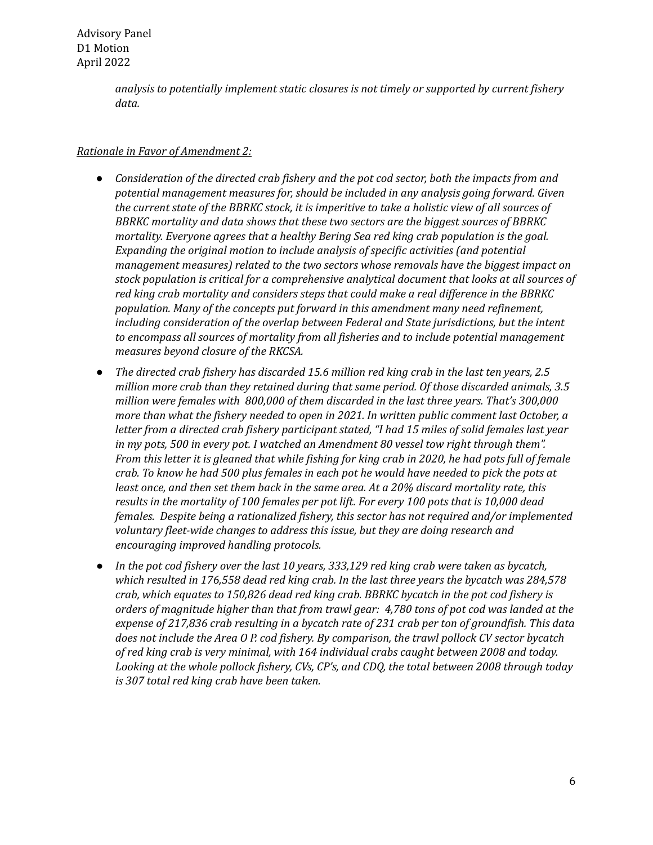Advisory Panel D1 Motion April 2022

> *analysis to potentially implement static closures is not timely or supported by current fishery data.*

## *Rationale in Favor of Amendment 2:*

- *● Consideration of the directed crab fishery and the pot cod sector, both the impacts from and potential management measures for, should be included in any analysis going forward. Given* the current state of the BBRKC stock, it is imperitive to take a holistic view of all sources of  *BBRKC mortality and data shows that these two sectors are the biggest sources of BBRKC mortality. Everyone agrees that a healthy Bering Sea red king crab population is the goal. Expanding the original motion to include analysis of specific activities (and potential management measures) related to the two sectors whose removals have the biggest impact on stock population is critical for a comprehensive analytical document that looks at all sources of red king crab mortality and considers steps that could make a real difference in the BBRKC population. Many of the concepts put forward in this amendment many need refinement, including consideration of the overlap between Federal and State jurisdictions, but the intent to encompass all sources of mortality from all fisheries and to include potential management measures beyond closure of the RKCSA.*
- The directed crab fishery has discarded 15.6 million red king crab in the last ten years, 2.5  *million more crab than they retained during that same period. Of those discarded animals, 3.5 million were females with 800,000 of them discarded in the last three years. That's 300,000 more than what the fishery needed to open in 2021. In written public comment last October, a* letter from a directed crab fishery participant stated, "I had 15 miles of solid females last year  *in my pots, 500 in every pot. I watched an Amendment 80 vessel tow right through them".* From this letter it is gleaned that while fishing for king crab in 2020, he had pots full of female crab. To know he had 500 plus females in each pot he would have needed to pick the pots at least once, and then set them back in the same area. At a 20% discard mortality rate, this results in the mortality of 100 females per pot lift. For every 100 pots that is 10,000 dead  *females. Despite being a rationalized fishery, this sector has not required and/or implemented voluntary fleet-wide changes to address this issue, but they are doing research and encouraging improved handling protocols.*
- In the pot cod fishery over the last 10 years, 333,129 red king crab were taken as bycatch,  *which resulted in 176,558 dead red king crab. In the last three years the bycatch was 284,578 crab, which equates to 150,826 dead red king crab. BBRKC bycatch in the pot cod fishery is* orders of magnitude higher than that from trawl gear: 4,780 tons of pot cod was landed at the expense of 217,836 crab resulting in a bycatch rate of 231 crab per ton of groundfish. This data  *does not include the Area O P. cod fishery. By comparison, the trawl pollock CV sector bycatch of red king crab is very minimal, with 164 individual crabs caught between 2008 and today. Looking at the whole pollock fishery, CVs, CP's, and CDQ, the total between 2008 through today is 307 total red king crab have been taken.*